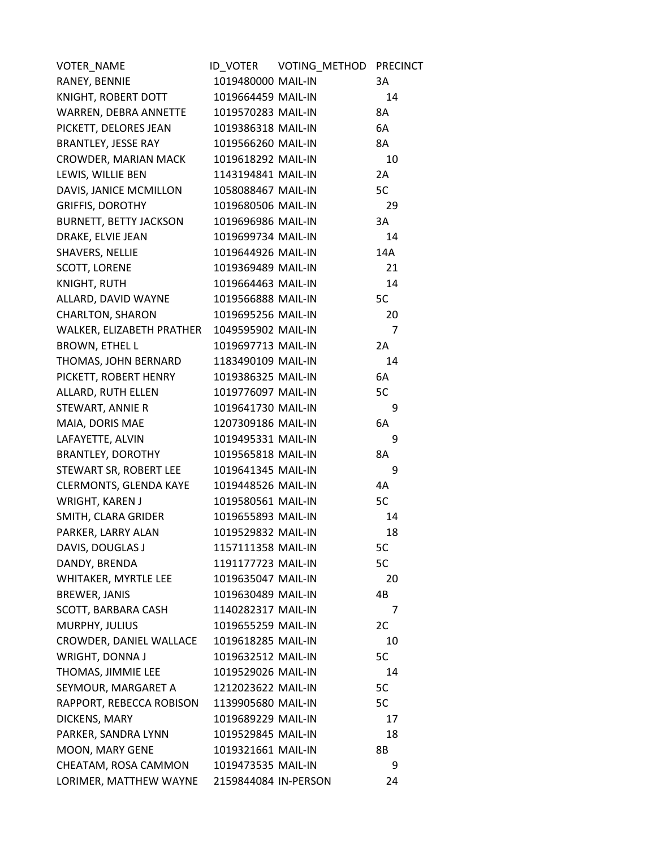| VOTER_NAME                    | ID_VOTER             | VOTING_METHOD PRECINCT |     |
|-------------------------------|----------------------|------------------------|-----|
| RANEY, BENNIE                 | 1019480000 MAIL-IN   |                        | 3A  |
| KNIGHT, ROBERT DOTT           | 1019664459 MAIL-IN   |                        | 14  |
| WARREN, DEBRA ANNETTE         | 1019570283 MAIL-IN   |                        | 8A  |
| PICKETT, DELORES JEAN         | 1019386318 MAIL-IN   |                        | 6A  |
| <b>BRANTLEY, JESSE RAY</b>    | 1019566260 MAIL-IN   |                        | 8A  |
| CROWDER, MARIAN MACK          | 1019618292 MAIL-IN   |                        | 10  |
| LEWIS, WILLIE BEN             | 1143194841 MAIL-IN   |                        | 2A  |
| DAVIS, JANICE MCMILLON        | 1058088467 MAIL-IN   |                        | 5C  |
| <b>GRIFFIS, DOROTHY</b>       | 1019680506 MAIL-IN   |                        | 29  |
| <b>BURNETT, BETTY JACKSON</b> | 1019696986 MAIL-IN   |                        | 3A  |
| DRAKE, ELVIE JEAN             | 1019699734 MAIL-IN   |                        | 14  |
| SHAVERS, NELLIE               | 1019644926 MAIL-IN   |                        | 14A |
| SCOTT, LORENE                 | 1019369489 MAIL-IN   |                        | 21  |
| KNIGHT, RUTH                  | 1019664463 MAIL-IN   |                        | 14  |
| ALLARD, DAVID WAYNE           | 1019566888 MAIL-IN   |                        | 5C  |
| <b>CHARLTON, SHARON</b>       | 1019695256 MAIL-IN   |                        | 20  |
| WALKER, ELIZABETH PRATHER     | 1049595902 MAIL-IN   |                        | 7   |
| <b>BROWN, ETHEL L</b>         | 1019697713 MAIL-IN   |                        | 2A  |
| THOMAS, JOHN BERNARD          | 1183490109 MAIL-IN   |                        | 14  |
| PICKETT, ROBERT HENRY         | 1019386325 MAIL-IN   |                        | 6A  |
| ALLARD, RUTH ELLEN            | 1019776097 MAIL-IN   |                        | 5C  |
| STEWART, ANNIE R              | 1019641730 MAIL-IN   |                        | 9   |
| MAIA, DORIS MAE               | 1207309186 MAIL-IN   |                        | 6A  |
| LAFAYETTE, ALVIN              | 1019495331 MAIL-IN   |                        | 9   |
| <b>BRANTLEY, DOROTHY</b>      | 1019565818 MAIL-IN   |                        | 8A  |
| STEWART SR, ROBERT LEE        | 1019641345 MAIL-IN   |                        | 9   |
| <b>CLERMONTS, GLENDA KAYE</b> | 1019448526 MAIL-IN   |                        | 4A  |
| WRIGHT, KAREN J               | 1019580561 MAIL-IN   |                        | 5C  |
| SMITH, CLARA GRIDER           | 1019655893 MAIL-IN   |                        | 14  |
| PARKER, LARRY ALAN            | 1019529832 MAIL-IN   |                        | 18  |
| DAVIS, DOUGLAS J              | 1157111358 MAIL-IN   |                        | 5C  |
| DANDY, BRENDA                 | 1191177723 MAIL-IN   |                        | 5C  |
| WHITAKER, MYRTLE LEE          | 1019635047 MAIL-IN   |                        | 20  |
| <b>BREWER, JANIS</b>          | 1019630489 MAIL-IN   |                        | 4B  |
| SCOTT, BARBARA CASH           | 1140282317 MAIL-IN   |                        | 7   |
| MURPHY, JULIUS                | 1019655259 MAIL-IN   |                        | 2C  |
| CROWDER, DANIEL WALLACE       | 1019618285 MAIL-IN   |                        | 10  |
| WRIGHT, DONNA J               | 1019632512 MAIL-IN   |                        | 5C  |
| THOMAS, JIMMIE LEE            | 1019529026 MAIL-IN   |                        | 14  |
| SEYMOUR, MARGARET A           | 1212023622 MAIL-IN   |                        | 5C  |
| RAPPORT, REBECCA ROBISON      | 1139905680 MAIL-IN   |                        | 5C  |
| DICKENS, MARY                 | 1019689229 MAIL-IN   |                        | 17  |
| PARKER, SANDRA LYNN           | 1019529845 MAIL-IN   |                        | 18  |
| MOON, MARY GENE               | 1019321661 MAIL-IN   |                        | 8B  |
| CHEATAM, ROSA CAMMON          | 1019473535 MAIL-IN   |                        | 9   |
| LORIMER, MATTHEW WAYNE        | 2159844084 IN-PERSON |                        | 24  |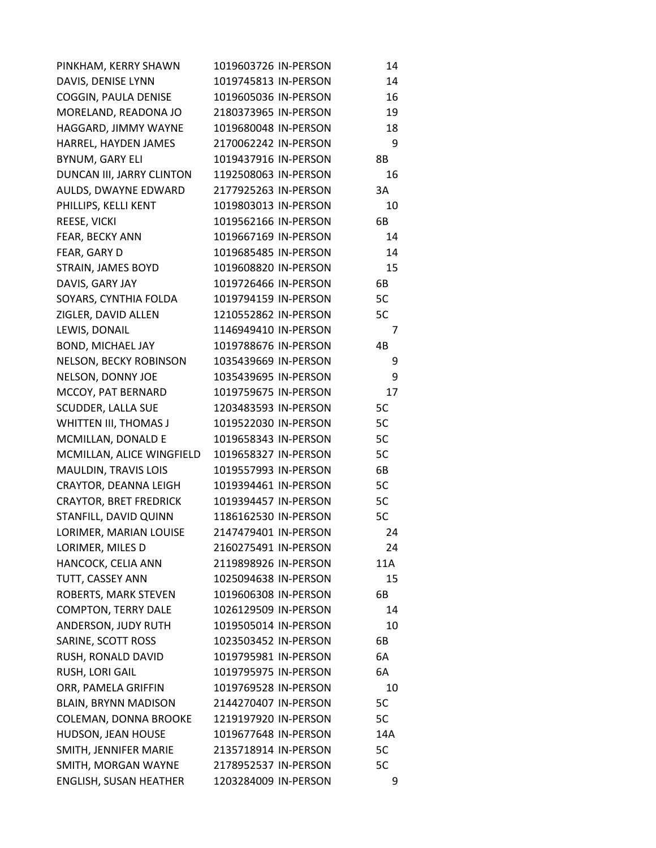| PINKHAM, KERRY SHAWN          | 1019603726 IN-PERSON | 14  |
|-------------------------------|----------------------|-----|
| DAVIS, DENISE LYNN            | 1019745813 IN-PERSON | 14  |
| COGGIN, PAULA DENISE          | 1019605036 IN-PERSON | 16  |
| MORELAND, READONA JO          | 2180373965 IN-PERSON | 19  |
| HAGGARD, JIMMY WAYNE          | 1019680048 IN-PERSON | 18  |
| HARREL, HAYDEN JAMES          | 2170062242 IN-PERSON | 9   |
| BYNUM, GARY ELI               | 1019437916 IN-PERSON | 8Β  |
| DUNCAN III, JARRY CLINTON     | 1192508063 IN-PERSON | 16  |
| AULDS, DWAYNE EDWARD          | 2177925263 IN-PERSON | 3A  |
| PHILLIPS, KELLI KENT          | 1019803013 IN-PERSON | 10  |
| REESE, VICKI                  | 1019562166 IN-PERSON | 6B  |
| FEAR, BECKY ANN               | 1019667169 IN-PERSON | 14  |
| FEAR, GARY D                  | 1019685485 IN-PERSON | 14  |
| STRAIN, JAMES BOYD            | 1019608820 IN-PERSON | 15  |
| DAVIS, GARY JAY               | 1019726466 IN-PERSON | 6B  |
| SOYARS, CYNTHIA FOLDA         | 1019794159 IN-PERSON | 5C  |
| ZIGLER, DAVID ALLEN           | 1210552862 IN-PERSON | 5C  |
| LEWIS, DONAIL                 | 1146949410 IN-PERSON | 7   |
| BOND, MICHAEL JAY             | 1019788676 IN-PERSON | 4B  |
| NELSON, BECKY ROBINSON        | 1035439669 IN-PERSON | 9   |
| NELSON, DONNY JOE             | 1035439695 IN-PERSON | 9   |
| MCCOY, PAT BERNARD            | 1019759675 IN-PERSON | 17  |
| SCUDDER, LALLA SUE            | 1203483593 IN-PERSON | 5C  |
| WHITTEN III, THOMAS J         | 1019522030 IN-PERSON | 5C  |
| MCMILLAN, DONALD E            | 1019658343 IN-PERSON | 5C  |
| MCMILLAN, ALICE WINGFIELD     | 1019658327 IN-PERSON | 5C  |
| MAULDIN, TRAVIS LOIS          | 1019557993 IN-PERSON | 6B  |
| CRAYTOR, DEANNA LEIGH         | 1019394461 IN-PERSON | 5C  |
| <b>CRAYTOR, BRET FREDRICK</b> | 1019394457 IN-PERSON | 5C  |
| STANFILL, DAVID QUINN         | 1186162530 IN-PERSON | 5C  |
| LORIMER, MARIAN LOUISE        | 2147479401 IN-PERSON | 24  |
| LORIMER, MILES D              | 2160275491 IN-PERSON | 24  |
| HANCOCK, CELIA ANN            | 2119898926 IN-PERSON | 11A |
| TUTT, CASSEY ANN              | 1025094638 IN-PERSON | 15  |
| ROBERTS, MARK STEVEN          | 1019606308 IN-PERSON | 6B  |
| <b>COMPTON, TERRY DALE</b>    | 1026129509 IN-PERSON | 14  |
| ANDERSON, JUDY RUTH           | 1019505014 IN-PERSON | 10  |
| SARINE, SCOTT ROSS            | 1023503452 IN-PERSON | 6B  |
| RUSH, RONALD DAVID            | 1019795981 IN-PERSON | 6A  |
| RUSH, LORI GAIL               | 1019795975 IN-PERSON | 6A  |
| ORR, PAMELA GRIFFIN           | 1019769528 IN-PERSON | 10  |
| <b>BLAIN, BRYNN MADISON</b>   | 2144270407 IN-PERSON | 5C  |
| COLEMAN, DONNA BROOKE         | 1219197920 IN-PERSON | 5C  |
| HUDSON, JEAN HOUSE            | 1019677648 IN-PERSON | 14A |
| SMITH, JENNIFER MARIE         | 2135718914 IN-PERSON | 5C  |
| SMITH, MORGAN WAYNE           | 2178952537 IN-PERSON | 5C  |
| ENGLISH, SUSAN HEATHER        | 1203284009 IN-PERSON | 9   |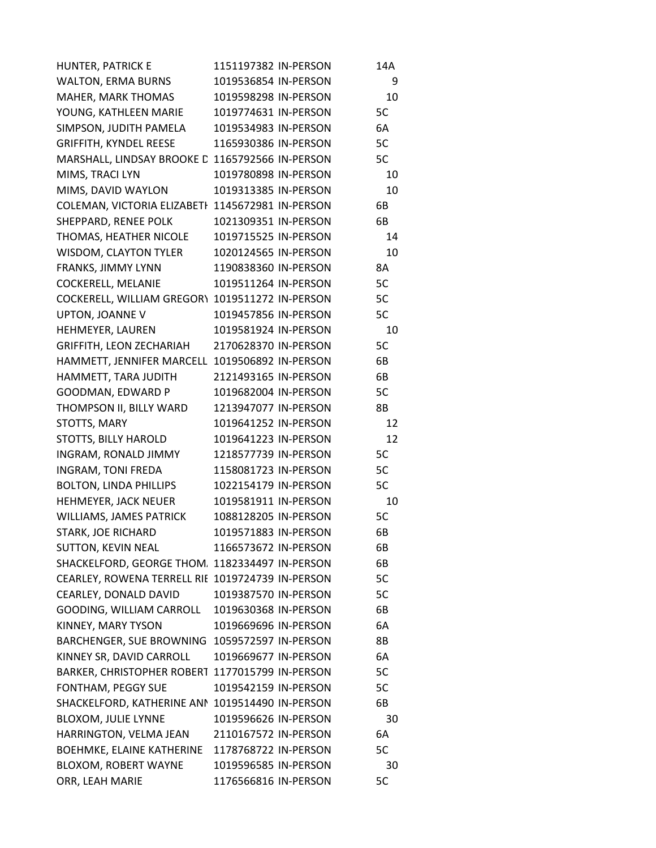| HUNTER, PATRICK E                                | 1151197382 IN-PERSON | 14A |
|--------------------------------------------------|----------------------|-----|
| <b>WALTON, ERMA BURNS</b>                        | 1019536854 IN-PERSON | 9   |
| MAHER, MARK THOMAS                               | 1019598298 IN-PERSON | 10  |
| YOUNG, KATHLEEN MARIE                            | 1019774631 IN-PERSON | 5C  |
| SIMPSON, JUDITH PAMELA                           | 1019534983 IN-PERSON | 6A  |
| <b>GRIFFITH, KYNDEL REESE</b>                    | 1165930386 IN-PERSON | 5C  |
| MARSHALL, LINDSAY BROOKE C                       | 1165792566 IN-PERSON | 5C  |
| MIMS, TRACI LYN                                  | 1019780898 IN-PERSON | 10  |
| MIMS, DAVID WAYLON                               | 1019313385 IN-PERSON | 10  |
| COLEMAN, VICTORIA ELIZABETI                      | 1145672981 IN-PERSON | 6B  |
| SHEPPARD, RENEE POLK                             | 1021309351 IN-PERSON | 6B  |
| THOMAS, HEATHER NICOLE                           | 1019715525 IN-PERSON | 14  |
| WISDOM, CLAYTON TYLER                            | 1020124565 IN-PERSON | 10  |
| FRANKS, JIMMY LYNN                               | 1190838360 IN-PERSON | 8A  |
| COCKERELL, MELANIE                               | 1019511264 IN-PERSON | 5C  |
| <b>COCKERELL, WILLIAM GREGORY</b>                | 1019511272 IN-PERSON | 5C  |
| UPTON, JOANNE V                                  | 1019457856 IN-PERSON | 5C  |
| HEHMEYER, LAUREN                                 | 1019581924 IN-PERSON | 10  |
| GRIFFITH, LEON ZECHARIAH                         | 2170628370 IN-PERSON | 5C  |
| HAMMETT, JENNIFER MARCELL 1019506892 IN-PERSON   |                      | 6B  |
| HAMMETT, TARA JUDITH                             | 2121493165 IN-PERSON | 6B  |
| GOODMAN, EDWARD P                                | 1019682004 IN-PERSON | 5C  |
| THOMPSON II, BILLY WARD                          | 1213947077 IN-PERSON | 8Β  |
| STOTTS, MARY                                     | 1019641252 IN-PERSON | 12  |
| STOTTS, BILLY HAROLD                             | 1019641223 IN-PERSON | 12  |
| INGRAM, RONALD JIMMY                             | 1218577739 IN-PERSON | 5C  |
| INGRAM, TONI FREDA                               | 1158081723 IN-PERSON | 5C  |
| <b>BOLTON, LINDA PHILLIPS</b>                    | 1022154179 IN-PERSON | 5C  |
| HEHMEYER, JACK NEUER                             | 1019581911 IN-PERSON | 10  |
| WILLIAMS, JAMES PATRICK                          | 1088128205 IN-PERSON | 5C  |
| <b>STARK, JOE RICHARD</b>                        | 1019571883 IN-PERSON | 6B  |
| <b>SUTTON, KEVIN NEAL</b>                        | 1166573672 IN-PERSON | 6B  |
| SHACKELFORD, GEORGE THOM 1182334497 IN-PERSON    |                      | 6B  |
| CEARLEY, ROWENA TERRELL RII 1019724739 IN-PERSON |                      | 5C  |
| CEARLEY, DONALD DAVID                            | 1019387570 IN-PERSON | 5C  |
| GOODING, WILLIAM CARROLL                         | 1019630368 IN-PERSON | 6B  |
| KINNEY, MARY TYSON                               | 1019669696 IN-PERSON | 6A  |
| BARCHENGER, SUE BROWNING                         | 1059572597 IN-PERSON | 8Β  |
| KINNEY SR, DAVID CARROLL                         | 1019669677 IN-PERSON | 6A  |
| <b>BARKER, CHRISTOPHER ROBERT</b>                | 1177015799 IN-PERSON | 5C  |
| FONTHAM, PEGGY SUE                               | 1019542159 IN-PERSON | 5C  |
| SHACKELFORD, KATHERINE ANI                       | 1019514490 IN-PERSON | 6В  |
| <b>BLOXOM, JULIE LYNNE</b>                       | 1019596626 IN-PERSON | 30  |
| HARRINGTON, VELMA JEAN                           | 2110167572 IN-PERSON | 6A  |
| <b>BOEHMKE, ELAINE KATHERINE</b>                 | 1178768722 IN-PERSON | 5C  |
| <b>BLOXOM, ROBERT WAYNE</b>                      | 1019596585 IN-PERSON | 30  |
| ORR, LEAH MARIE                                  | 1176566816 IN-PERSON | 5C  |